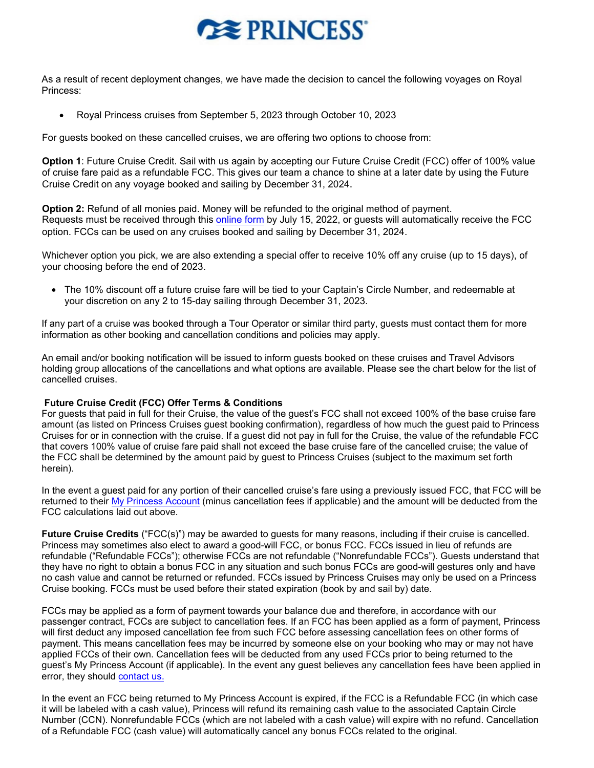## **REPRINCESS**

As a result of recent deployment changes, we have made the decision to cancel the following voyages on Royal Princess:

• Royal Princess cruises from September 5, 2023 through October 10, 2023

For guests booked on these cancelled cruises, we are offering two options to choose from:

**Option 1**: Future Cruise Credit. Sail with us again by accepting our Future Cruise Credit (FCC) offer of 100% value of cruise fare paid as a refundable FCC. This gives our team a chance to shine at a later date by using the Future Cruise Credit on any voyage booked and sailing by December 31, 2024.

**Option 2:** Refund of all monies paid. Money will be refunded to the original method of payment. Requests must be received through this [online form](https://www.princess.com/pcl/) by July 15, 2022, or guests will automatically receive the FCC option. FCCs can be used on any cruises booked and sailing by December 31, 2024.

Whichever option you pick, we are also extending a special offer to receive 10% off any cruise (up to 15 days), of your choosing before the end of 2023.

• The 10% discount off a future cruise fare will be tied to your Captain's Circle Number, and redeemable at your discretion on any 2 to 15-day sailing through December 31, 2023.

If any part of a cruise was booked through a Tour Operator or similar third party, guests must contact them for more information as other booking and cancellation conditions and policies may apply.

An email and/or booking notification will be issued to inform guests booked on these cruises and Travel Advisors holding group allocations of the cancellations and what options are available. Please see the chart below for the list of cancelled cruises.

## **Future Cruise Credit (FCC) Offer Terms & Conditions**

For guests that paid in full for their Cruise, the value of the guest's FCC shall not exceed 100% of the base cruise fare amount (as listed on Princess Cruises guest booking confirmation), regardless of how much the guest paid to Princess Cruises for or in connection with the cruise. If a guest did not pay in full for the Cruise, the value of the refundable FCC that covers 100% value of cruise fare paid shall not exceed the base cruise fare of the cancelled cruise; the value of the FCC shall be determined by the amount paid by guest to Princess Cruises (subject to the maximum set forth herein).

In the event a guest paid for any portion of their cancelled cruise's fare using a previously issued FCC, that FCC will be returned to their [My Princess](https://book.princess.com/captaincircle/myPrincess.page) Account (minus cancellation fees if applicable) and the amount will be deducted from the FCC calculations laid out above.

**Future Cruise Credits** ("FCC(s)") may be awarded to guests for many reasons, including if their cruise is cancelled. Princess may sometimes also elect to award a good-will FCC, or bonus FCC. FCCs issued in lieu of refunds are refundable ("Refundable FCCs"); otherwise FCCs are not refundable ("Nonrefundable FCCs"). Guests understand that they have no right to obtain a bonus FCC in any situation and such bonus FCCs are good-will gestures only and have no cash value and cannot be returned or refunded. FCCs issued by Princess Cruises may only be used on a Princess Cruise booking. FCCs must be used before their stated expiration (book by and sail by) date.

FCCs may be applied as a form of payment towards your balance due and therefore, in accordance with our passenger contract, FCCs are subject to cancellation fees. If an FCC has been applied as a form of payment, Princess will first deduct any imposed cancellation fee from such FCC before assessing cancellation fees on other forms of payment. This means cancellation fees may be incurred by someone else on your booking who may or may not have applied FCCs of their own. Cancellation fees will be deducted from any used FCCs prior to being returned to the guest's My Princess Account (if applicable). In the event any guest believes any cancellation fees have been applied in error, they should [contact](https://book.princess.com/captaincircle/customerCare.page) us.

In the event an FCC being returned to My Princess Account is expired, if the FCC is a Refundable FCC (in which case it will be labeled with a cash value), Princess will refund its remaining cash value to the associated Captain Circle Number (CCN). Nonrefundable FCCs (which are not labeled with a cash value) will expire with no refund. Cancellation of a Refundable FCC (cash value) will automatically cancel any bonus FCCs related to the original.